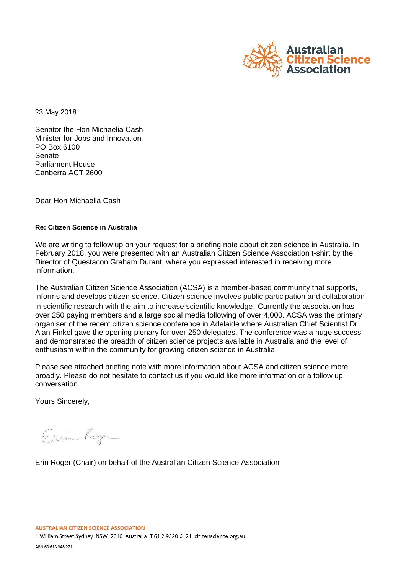

23 May 2018

Senator the Hon Michaelia Cash Minister for Jobs and Innovation PO Box 6100 Senate Parliament House Canberra ACT 2600

Dear Hon Michaelia Cash

### **Re: Citizen Science in Australia**

We are writing to follow up on your request for a briefing note about citizen science in Australia. In February 2018, you were presented with an Australian Citizen Science Association t-shirt by the Director of Questacon Graham Durant, where you expressed interested in receiving more information.

The Australian Citizen Science Association (ACSA) is a member-based community that supports, informs and develops citizen science. Citizen science involves public participation and collaboration in scientific research with the aim to increase scientific knowledge. Currently the association has over 250 paying members and a large social media following of over 4,000. ACSA was the primary organiser of the recent citizen science conference in Adelaide where Australian Chief Scientist Dr Alan Finkel gave the opening plenary for over 250 delegates. The conference was a huge success and demonstrated the breadth of citizen science projects available in Australia and the level of enthusiasm within the community for growing citizen science in Australia.

Please see attached briefing note with more information about ACSA and citizen science more broadly. Please do not hesitate to contact us if you would like more information or a follow up conversation.

Yours Sincerely,

Erin Roger

Erin Roger (Chair) on behalf of the Australian Citizen Science Association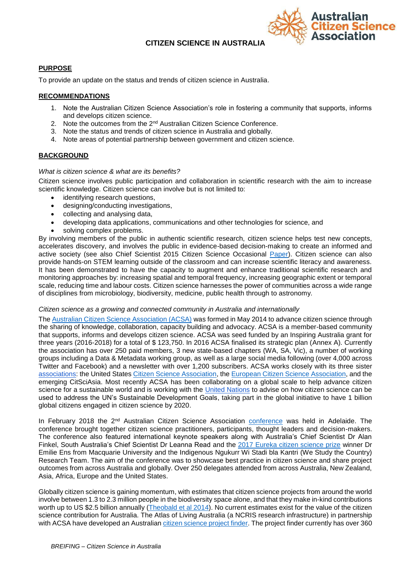## **CITIZEN SCIENCE IN AUSTRALIA**



### **PURPOSE**

To provide an update on the status and trends of citizen science in Australia.

#### **RECOMMENDATIONS**

- 1. Note the Australian Citizen Science Association's role in fostering a community that supports, informs and develops citizen science.
- 2. Note the outcomes from the 2<sup>nd</sup> Australian Citizen Science Conference.
- 3. Note the status and trends of citizen science in Australia and globally.
- 4. Note areas of potential partnership between government and citizen science.

#### **BACKGROUND**

#### *What is citizen science & what are its benefits?*

Citizen science involves public participation and collaboration in scientific research with the aim to increase scientific knowledge. Citizen science can involve but is not limited to:

- identifying research questions,
- designing/conducting investigations,
- collecting and analysing data,
- developing data applications, communications and other technologies for science, and
- solving complex problems.

By involving members of the public in authentic scientific research, citizen science helps test new concepts, accelerates discovery, and involves the public in evidence-based decision-making to create an informed and active society (see also Chief Scientist 2015 Citizen Science Occasional [Paper\)](http://www.chiefscientist.gov.au/2015/07/occasional-paper-building-australia-through-citizen-science/). Citizen science can also provide hands-on STEM learning outside of the classroom and can increase scientific literacy and awareness. It has been demonstrated to have the capacity to augment and enhance traditional scientific research and monitoring approaches by: increasing spatial and temporal frequency, increasing geographic extent or temporal scale, reducing time and labour costs. Citizen science harnesses the power of communities across a wide range of disciplines from microbiology, biodiversity, medicine, public health through to astronomy.

#### *Citizen science as a growing and connected community in Australia and internationally*

The [Australian Citizen Science Association \(ACSA\)](https://www.citizenscience.org.au/) was formed in May 2014 to advance citizen science through the sharing of knowledge, collaboration, capacity building and advocacy. ACSA is a member-based community that supports, informs and develops citizen science. ACSA was seed funded by an Inspiring Australia grant for three years (2016-2018) for a total of \$ 123,750. In 2016 ACSA finalised its strategic plan (Annex A). Currently the association has over 250 paid members, 3 new state-based chapters (WA, SA, Vic), a number of working groups including a Data & Metadata working group, as well as a large social media following (over 4,000 across Twitter and Facebook) and a newsletter with over 1,200 subscribers. ACSA works closely with its three sister [associations:](https://theoryandpractice.citizenscienceassociation.org/articles/10.5334/cstp.55/) the United States [Citizen Science Association,](http://citizenscience.org/) the [European Citizen Science Association,](https://ecsa.citizen-science.net/) and the emerging CitSciAsia. Most recently ACSA has been collaborating on a global scale to help advance citizen science for a sustainable world and is working with the [United Nations](https://www.citizenscience.org.au/2018/01/17/acsa-heads-to-the-united-nations/) to advise on how citizen science can be used to address the UN's Sustainable Development Goals, taking part in the global initiative to have 1 billion global citizens engaged in citizen science by 2020.

In February 2018 the 2<sup>nd</sup> Australian Citizen Science Association [conference](https://www.citizenscience.org.au/2018/03/07/discover-relive-citscioz18-magic/) was held in Adelaide. The conference brought together citizen science practitioners, participants, thought leaders and decision-makers. The conference also featured international keynote speakers along with Australia's Chief Scientist Dr Alan Finkel, South Australia's Chief Scientist Dr Leanna Read and the [2017 Eureka citizen science prize](https://australianmuseum.net.au/2017-eureka-prizes-winners) winner Dr Emilie Ens from Macquarie University and the Indigenous Ngukurr Wi Stadi bla Kantri (We Study the Country) Research Team. The aim of the conference was to showcase best practice in citizen science and share project outcomes from across Australia and globally. Over 250 delegates attended from across Australia, New Zealand, Asia, Africa, Europe and the United States.

Globally citizen science is gaining momentum, with estimates that citizen science projects from around the world involve between 1.3 to 2.3 million people in the biodiversity space alone, and that they make in-kind contributions worth up to US \$2.5 billion annually [\(Theobald et al 2014\)](https://www.sciencedirect.com/science/article/pii/S0006320714004029?via%3Dihub). No current estimates exist for the value of the citizen science contribution for Australia. The Atlas of Living Australia (a NCRIS research infrastructure) in partnership with ACSA have developed an Australian [citizen science project finder.](https://biocollect.ala.org.au/acsa#isCitizenScience%3Dtrue%26isWorldWide%3Dfalse%26max%3D20%26sort%3DdateCreatedSort) The project finder currently has over 360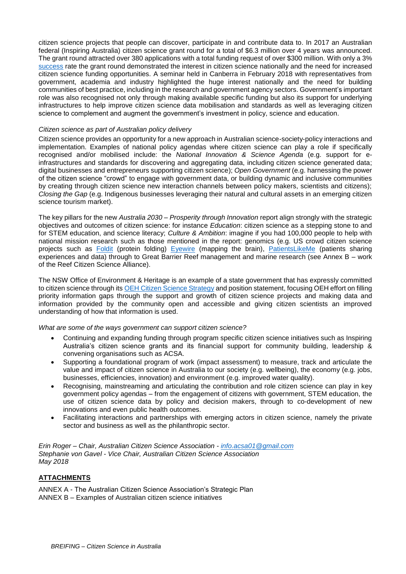citizen science projects that people can discover, participate in and contribute data to. In 2017 an Australian federal (Inspiring Australia) citizen science grant round for a total of \$6.3 million over 4 years was announced. The grant round attracted over 380 applications with a total funding request of over \$300 million. With only a 3% [success](https://www.business.gov.au/Assistance/Inspiring-Australia-Science-Engagement/Citizen-Science-Grants/Citizen-Science-Grants-Grant-Recipients) rate the grant round demonstrated the interest in citizen science nationally and the need for increased citizen science funding opportunities. A seminar held in Canberra in February 2018 with representatives from government, academia and industry highlighted the huge interest nationally and the need for building communities of best practice, including in the research and government agency sectors. Government's important role was also recognised not only through making available specific funding but also its support for underlying infrastructures to help improve citizen science data mobilisation and standards as well as leveraging citizen science to complement and augment the government's investment in policy, science and education.

#### *Citizen science as part of Australian policy delivery*

Citizen science provides an opportunity for a new approach in Australian science-society-policy interactions and implementation. Examples of national policy agendas where citizen science can play a role if specifically recognised and/or mobilised include: the *National Innovation & Science Agenda* (e.g. support for einfrastructures and standards for discovering and aggregating data, including citizen science generated data; digital businesses and entrepreneurs supporting citizen science); *Open Government* (e.g. harnessing the power of the citizen science "crowd" to engage with government data, or building dynamic and inclusive communities by creating through citizen science new interaction channels between policy makers, scientists and citizens); *Closing the Gap* (e.g. Indigenous businesses leveraging their natural and cultural assets in an emerging citizen science tourism market).

The key pillars for the new *Australia 2030 – Prosperity through Innovation* report align strongly with the strategic objectives and outcomes of citizen science: for instance *Education*: citizen science as a stepping stone to and for STEM education, and science literacy; *Culture & Ambition*: imagine if you had 100,000 people to help with national mission research such as those mentioned in the report: genomics (e.g. US crowd citizen science projects such as [Foldit](http://fold.it/portal/info/about) (protein folding) [Eyewire](https://eyewire.org/explore) (mapping the brain), [PatientsLikeMe](https://www.patientslikeme.com/about) (patients sharing experiences and data) through to Great Barrier Reef management and marine research (see Annex B – work of the Reef Citizen Science Alliance).

The NSW Office of Environment & Heritage is an example of a state government that has expressly committed to citizen science through it[s OEH Citizen Science Strategy](http://www.environment.nsw.gov.au/research-and-publications/your-research/citizen-science/about-citizen-science) and position statement, focusing OEH effort on filling priority information gaps through the support and growth of citizen science projects and making data and information provided by the community open and accessible and giving citizen scientists an improved understanding of how that information is used.

*What are some of the ways government can support citizen science?*

- Continuing and expanding funding through program specific citizen science initiatives such as Inspiring Australia's citizen science grants and its financial support for community building, leadership & convening organisations such as ACSA.
- Supporting a foundational program of work (impact assessment) to measure, track and articulate the value and impact of citizen science in Australia to our society (e.g. wellbeing), the economy (e.g. jobs, businesses, efficiencies, innovation) and environment (e.g. improved water quality).
- Recognising, mainstreaming and articulating the contribution and role citizen science can play in key government policy agendas – from the engagement of citizens with government, STEM education, the use of citizen science data by policy and decision makers, through to co-development of new innovations and even public health outcomes.
- Facilitating interactions and partnerships with emerging actors in citizen science, namely the private sector and business as well as the philanthropic sector.

*Erin Roger – Chair, Australian Citizen Science Association - [info.acsa01@gmail.com](mailto:info.acsa01@gmail.com) Stephanie von Gavel - Vice Chair, Australian Citizen Science Association May 2018*

### **ATTACHMENTS**

ANNEX A - The Australian Citizen Science Association's Strategic Plan ANNEX B – Examples of Australian citizen science initiatives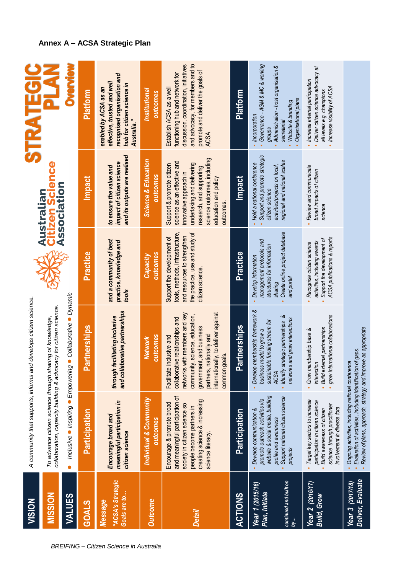| VISION                                                             |                                                                                                                                                                                    | A community that supports, informs and develops citizen science.                                                                                                                                                                                     |                                                                                                                                                        |                                                                                                                                                                                                                  | STRATEGI                                                                                                                                                                                    |
|--------------------------------------------------------------------|------------------------------------------------------------------------------------------------------------------------------------------------------------------------------------|------------------------------------------------------------------------------------------------------------------------------------------------------------------------------------------------------------------------------------------------------|--------------------------------------------------------------------------------------------------------------------------------------------------------|------------------------------------------------------------------------------------------------------------------------------------------------------------------------------------------------------------------|---------------------------------------------------------------------------------------------------------------------------------------------------------------------------------------------|
| <b>MISSION</b>                                                     |                                                                                                                                                                                    | collaboration, capacity building & advocacy for citizen science.<br>To advance citizen science through sharing of knowledge,                                                                                                                         |                                                                                                                                                        | <b>Australian<br/>Citizen Scie</b> l<br>Association                                                                                                                                                              |                                                                                                                                                                                             |
| <b>VALUES</b>                                                      | Inclusive Inspiring Empowering<br>$\bullet$                                                                                                                                        | Collaborative · Dynamic                                                                                                                                                                                                                              |                                                                                                                                                        |                                                                                                                                                                                                                  | <b>SPAGN</b>                                                                                                                                                                                |
| <b>GOALS</b>                                                       | Participation                                                                                                                                                                      | artnerships<br>௨                                                                                                                                                                                                                                     | Practice                                                                                                                                               | <b>Impact</b>                                                                                                                                                                                                    | Platform                                                                                                                                                                                    |
| "ACSA's Strategic<br>Goals are to<br>Message                       | meaningful participation in<br>Encourage broad and<br>citizen science                                                                                                              | and collaborative partnerships<br>through facilitating inclusive                                                                                                                                                                                     | and a community of best<br>practice, knowledge and<br>tools                                                                                            | and its outputs are realised<br>impact of citizen science<br>to ensure the value and                                                                                                                             | recognised organisation and<br>effective, trusted and well<br>hub for citizen science in<br>enabled by ACSA as an<br>Australia."                                                            |
| <b>Outcome</b>                                                     | Individual & Community<br>outcomes                                                                                                                                                 | outcomes<br>Network                                                                                                                                                                                                                                  | outcomes<br>Capacity                                                                                                                                   | <b>Science &amp; Education</b><br>outcomes                                                                                                                                                                       | Institutional<br>outcomes                                                                                                                                                                   |
| <b>Detail</b>                                                      | and meaningful participation of<br>creating science & increasing<br>Encourage & promote broad<br>society in citizen science so<br>people become partners in<br>science literacy    | internationally, to deliver against<br>networks with members and key<br>community, science, education,<br>collaborative relationships and<br>government, and business<br>nationally and<br>inclusive and<br>common goals.<br>partners,<br>Facilitate | the practice, use and study of<br>tools, methods, infrastructure,<br>and resources to strengthen<br>Support the development of<br>citizen science.     | science outcomes, including<br>science as an effective and<br>undertaking and delivering<br>Support & promote citizen<br>research, and supporting<br>innovative approach in<br>education and policy<br>outcomes. | and advocacy, for members and to<br>discussion, coordination, initiatives<br>promote and deliver the goals of<br>functioning hub and network for<br>Establish ACSA as a well<br><b>ACSA</b> |
| <b>ACTIONS</b>                                                     | Participation                                                                                                                                                                      | artnerships<br>Δ.                                                                                                                                                                                                                                    | Practice                                                                                                                                               | Impact                                                                                                                                                                                                           | <b>Platform</b>                                                                                                                                                                             |
| continued and built on<br>Year 1 (2015/16)<br>Plan, Initiate<br>by | website & social media, building<br>Support national citizen science<br>promote outreach activities via<br>Develop communication &<br>profile and awareness<br>projects            | · Develop membership framework &<br>Identify strategic partnerships &<br>and grow interactions<br>sustainable funding stream for<br>business model to grow a<br>networks<br>ACSA                                                                     | Create online project database<br>management protocols and<br>structures for information<br>Develop information<br>and portal<br><i><b>sharing</b></i> | Support and promote strategic<br>regional and national scales<br>Hold a national conference<br>activities/projects on local,<br>citizen science                                                                  | Governance - AGM & MC & working<br>Administration - host organisation &<br>Organisational plans<br>Website & branding<br>Incorporation<br>secretariat<br>groups                             |
| Year 2 (2016/17)<br><b>Build, Grow</b>                             | Target key sectors to increase<br>participation in citizen science<br>science through practitioner<br>involvement in diverse fora<br>Build awareness of citizen                    | grow international collaborations<br><b>Build external partnerships</b><br>Grow membership base &<br>interaction                                                                                                                                     | ACSA publications & reports<br>Support the development of<br>activities, including awards<br>Recognise citizen science                                 | Review and communicate<br>broad impacts of citizen<br>science                                                                                                                                                    | Deliver citizen science advocacy at<br>Increase internal participation<br>• Increase visibility of ACSA<br>all levels e.g. champions                                                        |
| Deliver, Evaluate<br>Year 3 (2017/18)                              | Review of plans, approach, strategy and improve as appropriate<br>Evaluation of activities, including identification of gaps.<br>Ongoing activities, including national conference |                                                                                                                                                                                                                                                      |                                                                                                                                                        |                                                                                                                                                                                                                  |                                                                                                                                                                                             |

# **Annex A – ACSA Strategic Plan**